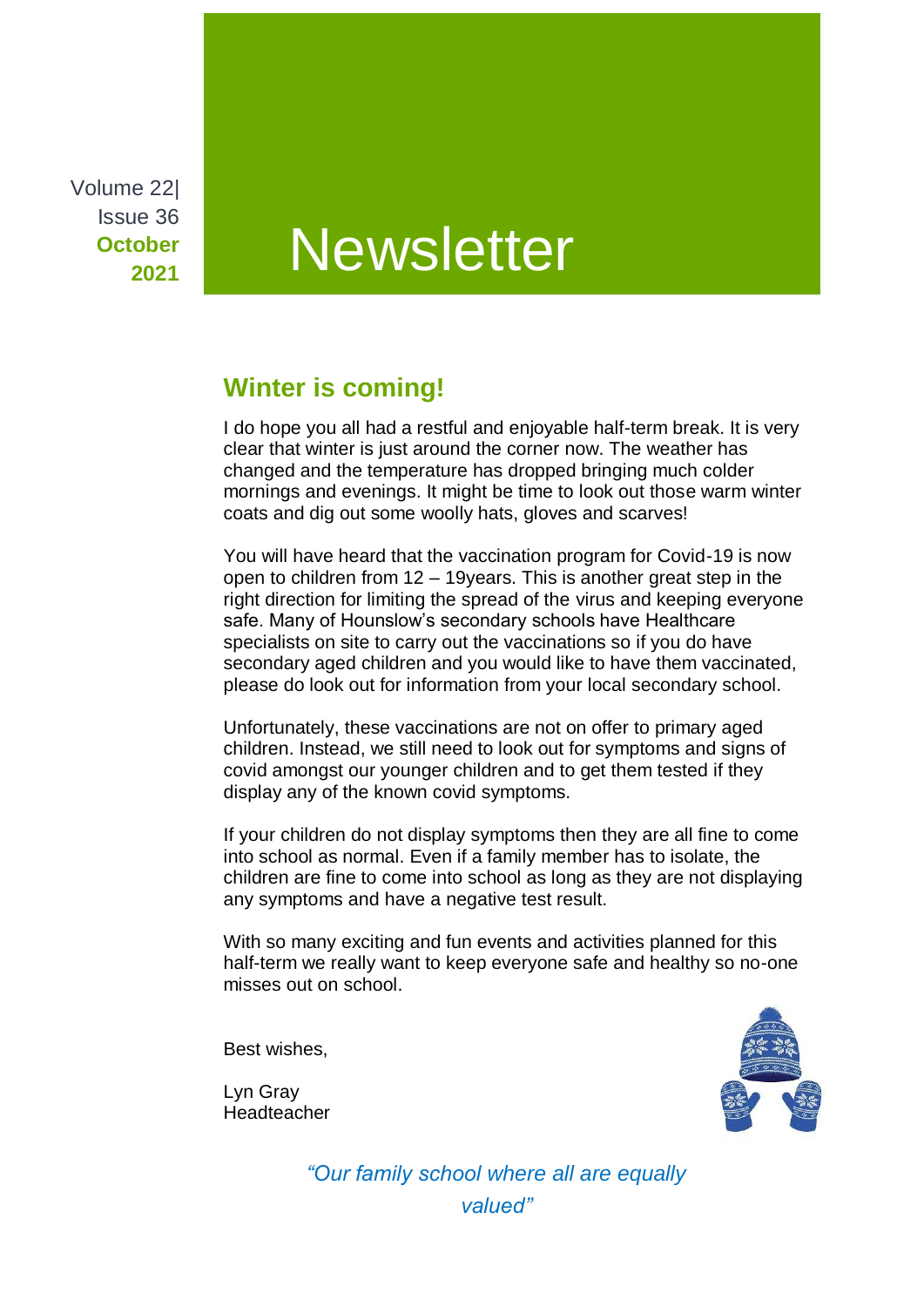Volume 22| Issue 36 **October 2021**

# **Newsletter**

## **Winter is coming!**

I do hope you all had a restful and enjoyable half-term break. It is very clear that winter is just around the corner now. The weather has changed and the temperature has dropped bringing much colder mornings and evenings. It might be time to look out those warm winter coats and dig out some woolly hats, gloves and scarves!

You will have heard that the vaccination program for Covid-19 is now open to children from 12 – 19years. This is another great step in the right direction for limiting the spread of the virus and keeping everyone safe. Many of Hounslow's secondary schools have Healthcare specialists on site to carry out the vaccinations so if you do have secondary aged children and you would like to have them vaccinated, please do look out for information from your local secondary school.

Unfortunately, these vaccinations are not on offer to primary aged children. Instead, we still need to look out for symptoms and signs of covid amongst our younger children and to get them tested if they display any of the known covid symptoms.

If your children do not display symptoms then they are all fine to come into school as normal. Even if a family member has to isolate, the children are fine to come into school as long as they are not displaying any symptoms and have a negative test result.

With so many exciting and fun events and activities planned for this half-term we really want to keep everyone safe and healthy so no-one misses out on school.

Best wishes,

Lyn Gray Headteacher



*"Our family school where all are equally valued"*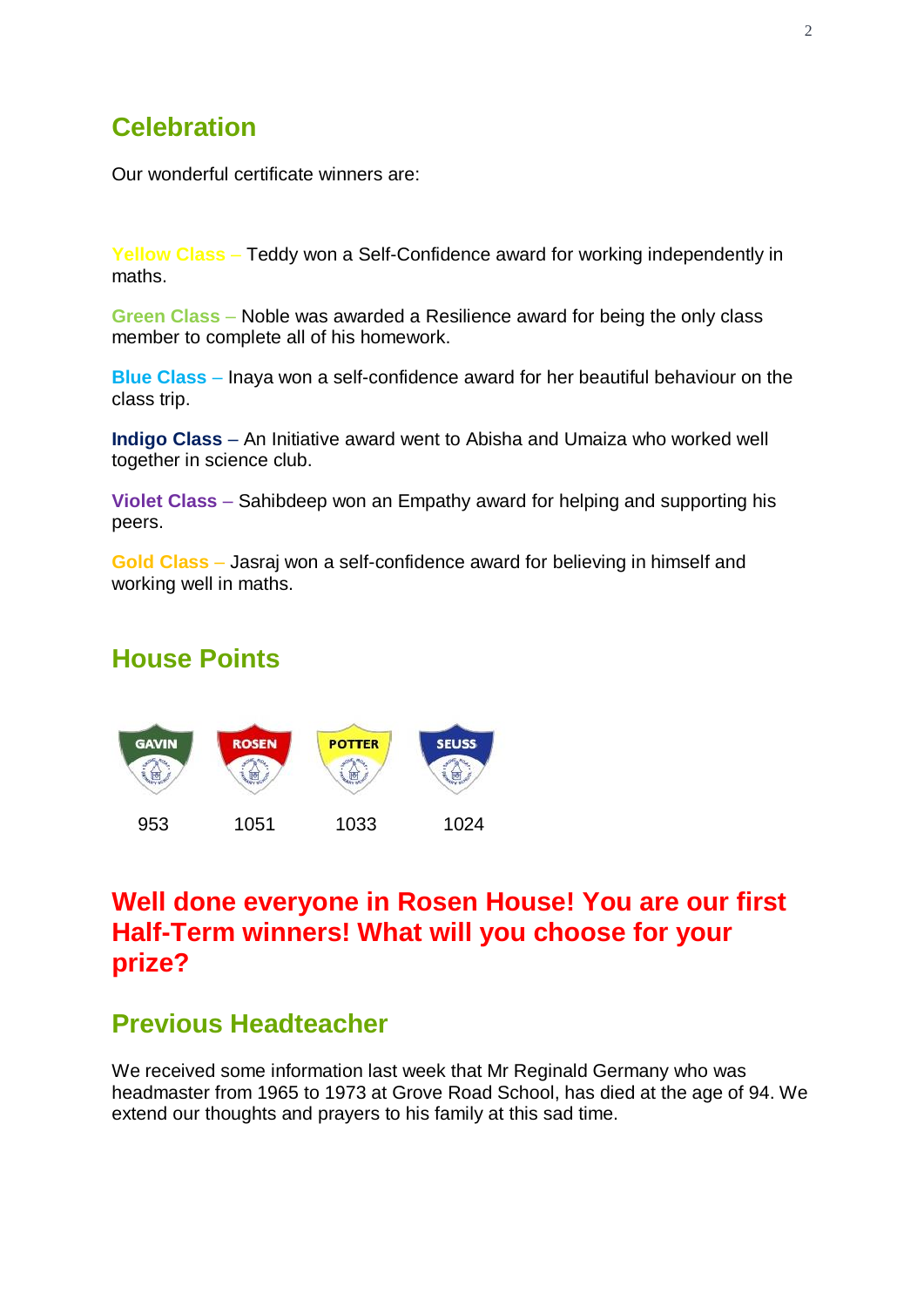# **Celebration**

Our wonderful certificate winners are:

**Yellow Class** – Teddy won a Self-Confidence award for working independently in maths.

**Green Class** – Noble was awarded a Resilience award for being the only class member to complete all of his homework.

**Blue Class** – Inaya won a self-confidence award for her beautiful behaviour on the class trip.

**Indigo Class** – An Initiative award went to Abisha and Umaiza who worked well together in science club.

**Violet Class** – Sahibdeep won an Empathy award for helping and supporting his peers.

**Gold Class** – Jasraj won a self-confidence award for believing in himself and working well in maths.

#### **House Points**



## **Well done everyone in Rosen House! You are our first Half-Term winners! What will you choose for your prize?**

#### **Previous Headteacher**

We received some information last week that Mr Reginald Germany who was headmaster from 1965 to 1973 at Grove Road School, has died at the age of 94. We extend our thoughts and prayers to his family at this sad time.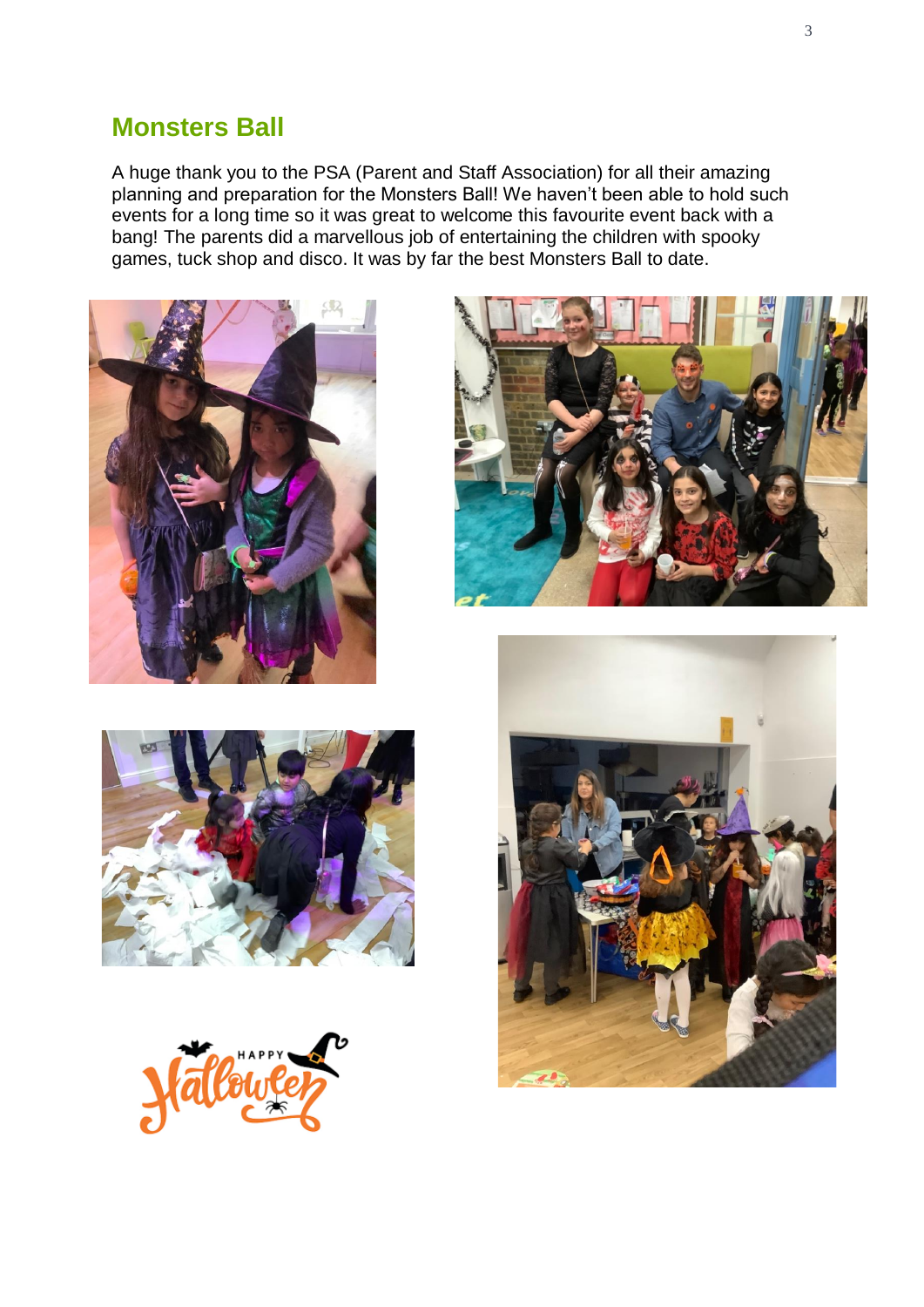#### **Monsters Ball**

A huge thank you to the PSA (Parent and Staff Association) for all their amazing planning and preparation for the Monsters Ball! We haven't been able to hold such events for a long time so it was great to welcome this favourite event back with a bang! The parents did a marvellous job of entertaining the children with spooky games, tuck shop and disco. It was by far the best Monsters Ball to date.









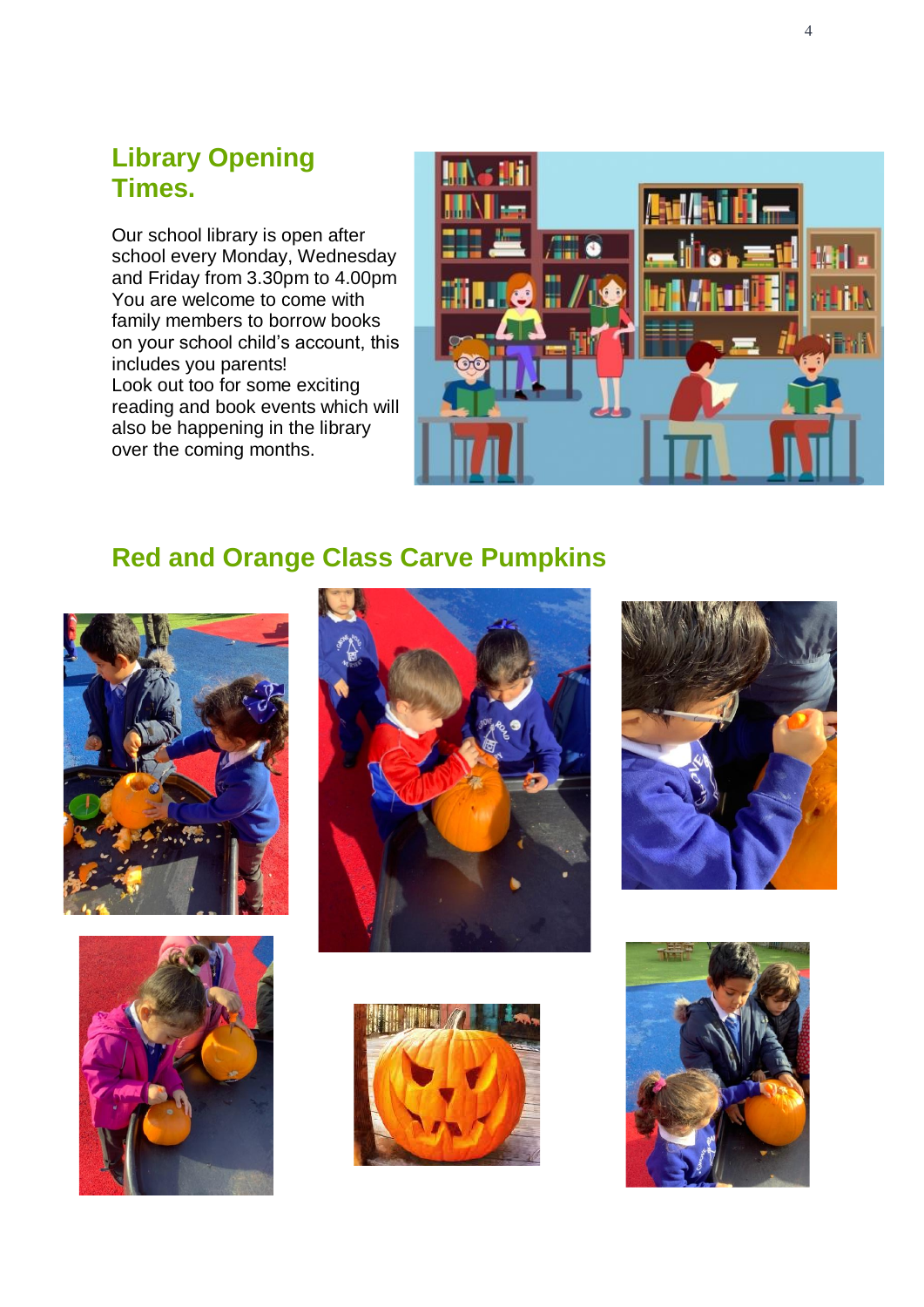## **Library Opening Times.**

Our school library is open after school every Monday, Wednesday and Friday from 3.30pm to 4.00pm You are welcome to come with family members to borrow books on your school child's account, this includes you parents! Look out too for some exciting reading and book events which will also be happening in the library over the coming months.



# **Red and Orange Class Carve Pumpkins**